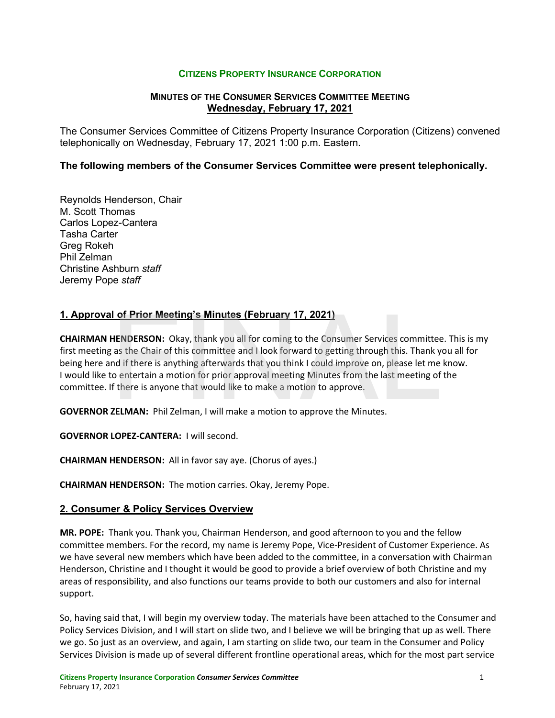## **CITIZENS PROPERTY INSURANCE CORPORATION**

## **MINUTES OF THE CONSUMER SERVICES COMMITTEE MEETING Wednesday, February 17, 2021**

The Consumer Services Committee of Citizens Property Insurance Corporation (Citizens) convened telephonically on Wednesday, February 17, 2021 1:00 p.m. Eastern.

### **The following members of the Consumer Services Committee were present telephonically.**

Reynolds Henderson, Chair M. Scott Thomas Carlos Lopez-Cantera Tasha Carter Greg Rokeh Phil Zelman Christine Ashburn *staff* Jeremy Pope *staff*

## **1. Approval of Prior Meeting's Minutes (February 17, 2021)**

**CHAIRMAN HENDERSON:** Okay, thank you all for coming to the Consumer Services committee. This is my first meeting as the Chair of this committee and I look forward to getting through this. Thank you all for being here and if there is anything afterwards that you think I could improve on, please let me know. I would like to entertain a motion for prior approval meeting Minutes from the last meeting of the committee. If there is anyone that would like to make a motion to approve. I of Prior Meeting's Minutes (February 17, 2021)<br>HENDERSON: Okay, thank you all for coming to the Consumer Services committee<br>as the Chair of this committee and I look forward to getting through this. Thank you<br>and if ther

**GOVERNOR ZELMAN:** Phil Zelman, I will make a motion to approve the Minutes.

**GOVERNOR LOPEZ-CANTERA:** I will second.

**CHAIRMAN HENDERSON:** All in favor say aye. (Chorus of ayes.)

**CHAIRMAN HENDERSON:** The motion carries. Okay, Jeremy Pope.

#### **2. Consumer & Policy Services Overview**

**MR. POPE:** Thank you. Thank you, Chairman Henderson, and good afternoon to you and the fellow committee members. For the record, my name is Jeremy Pope, Vice-President of Customer Experience. As we have several new members which have been added to the committee, in a conversation with Chairman Henderson, Christine and I thought it would be good to provide a brief overview of both Christine and my areas of responsibility, and also functions our teams provide to both our customers and also for internal support.

So, having said that, I will begin my overview today. The materials have been attached to the Consumer and Policy Services Division, and I will start on slide two, and I believe we will be bringing that up as well. There we go. So just as an overview, and again, I am starting on slide two, our team in the Consumer and Policy Services Division is made up of several different frontline operational areas, which for the most part service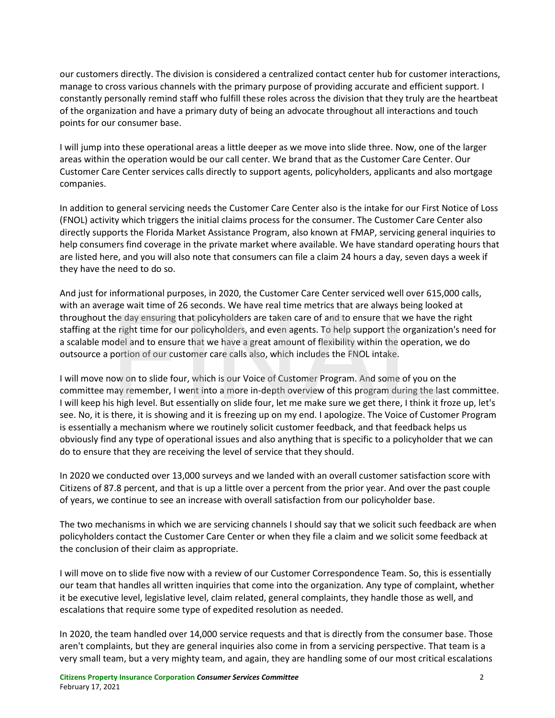our customers directly. The division is considered a centralized contact center hub for customer interactions, manage to cross various channels with the primary purpose of providing accurate and efficient support. I constantly personally remind staff who fulfill these roles across the division that they truly are the heartbeat of the organization and have a primary duty of being an advocate throughout all interactions and touch points for our consumer base.

I will jump into these operational areas a little deeper as we move into slide three. Now, one of the larger areas within the operation would be our call center. We brand that as the Customer Care Center. Our Customer Care Center services calls directly to support agents, policyholders, applicants and also mortgage companies.

In addition to general servicing needs the Customer Care Center also is the intake for our First Notice of Loss (FNOL) activity which triggers the initial claims process for the consumer. The Customer Care Center also directly supports the Florida Market Assistance Program, also known at FMAP, servicing general inquiries to help consumers find coverage in the private market where available. We have standard operating hours that are listed here, and you will also note that consumers can file a claim 24 hours a day, seven days a week if they have the need to do so.

And just for informational purposes, in 2020, the Customer Care Center serviced well over 615,000 calls, with an average wait time of 26 seconds. We have real time metrics that are always being looked at throughout the day ensuring that policyholders are taken care of and to ensure that we have the right staffing at the right time for our policyholders, and even agents. To help support the organization's need for a scalable model and to ensure that we have a great amount of flexibility within the operation, we do outsource a portion of our customer care calls also, which includes the FNOL intake.

I will move now on to slide four, which is our Voice of Customer Program. And some of you on the committee may remember, I went into a more in-depth overview of this program during the last committee. I will keep his high level. But essentially on slide four, let me make sure we get there, I think it froze up, let's see. No, it is there, it is showing and it is freezing up on my end. I apologize. The Voice of Customer Program is essentially a mechanism where we routinely solicit customer feedback, and that feedback helps us obviously find any type of operational issues and also anything that is specific to a policyholder that we can do to ensure that they are receiving the level of service that they should. the day ensuring that policyholders are taken care of and to ensure that we have the right time for our policyholders, and even agents. To help support the organization of and to ensure that we have a great amount of flexi

In 2020 we conducted over 13,000 surveys and we landed with an overall customer satisfaction score with Citizens of 87.8 percent, and that is up a little over a percent from the prior year. And over the past couple of years, we continue to see an increase with overall satisfaction from our policyholder base.

The two mechanisms in which we are servicing channels I should say that we solicit such feedback are when policyholders contact the Customer Care Center or when they file a claim and we solicit some feedback at the conclusion of their claim as appropriate.

I will move on to slide five now with a review of our Customer Correspondence Team. So, this is essentially our team that handles all written inquiries that come into the organization. Any type of complaint, whether it be executive level, legislative level, claim related, general complaints, they handle those as well, and escalations that require some type of expedited resolution as needed.

In 2020, the team handled over 14,000 service requests and that is directly from the consumer base. Those aren't complaints, but they are general inquiries also come in from a servicing perspective. That team is a very small team, but a very mighty team, and again, they are handling some of our most critical escalations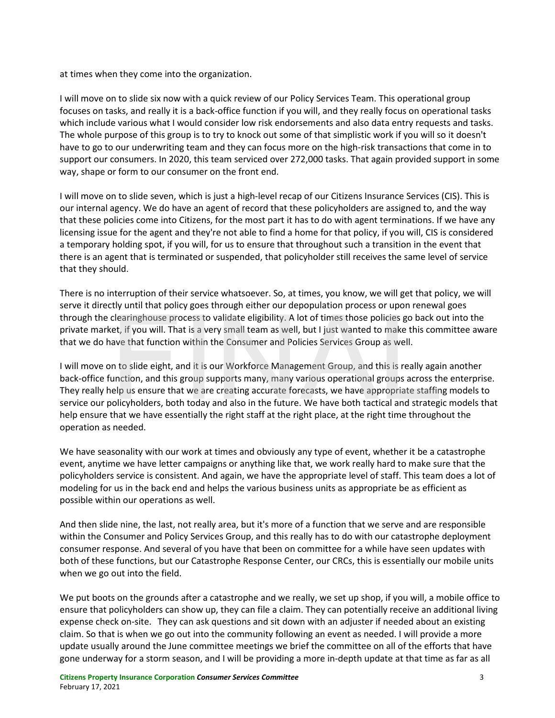at times when they come into the organization.

I will move on to slide six now with a quick review of our Policy Services Team. This operational group focuses on tasks, and really it is a back-office function if you will, and they really focus on operational tasks which include various what I would consider low risk endorsements and also data entry requests and tasks. The whole purpose of this group is to try to knock out some of that simplistic work if you will so it doesn't have to go to our underwriting team and they can focus more on the high-risk transactions that come in to support our consumers. In 2020, this team serviced over 272,000 tasks. That again provided support in some way, shape or form to our consumer on the front end.

I will move on to slide seven, which is just a high-level recap of our Citizens Insurance Services (CIS). This is our internal agency. We do have an agent of record that these policyholders are assigned to, and the way that these policies come into Citizens, for the most part it has to do with agent terminations. If we have any licensing issue for the agent and they're not able to find a home for that policy, if you will, CIS is considered a temporary holding spot, if you will, for us to ensure that throughout such a transition in the event that there is an agent that is terminated or suspended, that policyholder still receives the same level of service that they should.

There is no interruption of their service whatsoever. So, at times, you know, we will get that policy, we will serve it directly until that policy goes through either our depopulation process or upon renewal goes through the clearinghouse process to validate eligibility. A lot of times those policies go back out into the private market, if you will. That is a very small team as well, but I just wanted to make this committee aware that we do have that function within the Consumer and Policies Services Group as well.

I will move on to slide eight, and it is our Workforce Management Group, and this is really again another back-office function, and this group supports many, many various operational groups across the enterprise. They really help us ensure that we are creating accurate forecasts, we have appropriate staffing models to service our policyholders, both today and also in the future. We have both tactical and strategic models that help ensure that we have essentially the right staff at the right place, at the right time throughout the operation as needed. clearinghouse process to validate eligibility. A lot of times those policies go back of the set, if you will. That is a very small team as well, but I just wanted to make this com ave that function within the Consumer and

We have seasonality with our work at times and obviously any type of event, whether it be a catastrophe event, anytime we have letter campaigns or anything like that, we work really hard to make sure that the policyholders service is consistent. And again, we have the appropriate level of staff. This team does a lot of modeling for us in the back end and helps the various business units as appropriate be as efficient as possible within our operations as well.

And then slide nine, the last, not really area, but it's more of a function that we serve and are responsible within the Consumer and Policy Services Group, and this really has to do with our catastrophe deployment consumer response. And several of you have that been on committee for a while have seen updates with both of these functions, but our Catastrophe Response Center, our CRCs, this is essentially our mobile units when we go out into the field.

We put boots on the grounds after a catastrophe and we really, we set up shop, if you will, a mobile office to ensure that policyholders can show up, they can file a claim. They can potentially receive an additional living expense check on-site. They can ask questions and sit down with an adjuster if needed about an existing claim. So that is when we go out into the community following an event as needed. I will provide a more update usually around the June committee meetings we brief the committee on all of the efforts that have gone underway for a storm season, and I will be providing a more in-depth update at that time as far as all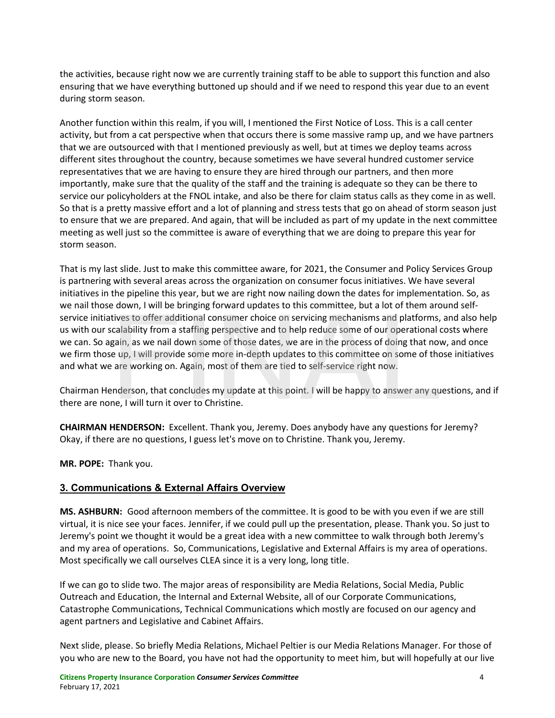the activities, because right now we are currently training staff to be able to support this function and also ensuring that we have everything buttoned up should and if we need to respond this year due to an event during storm season.

Another function within this realm, if you will, I mentioned the First Notice of Loss. This is a call center activity, but from a cat perspective when that occurs there is some massive ramp up, and we have partners that we are outsourced with that I mentioned previously as well, but at times we deploy teams across different sites throughout the country, because sometimes we have several hundred customer service representatives that we are having to ensure they are hired through our partners, and then more importantly, make sure that the quality of the staff and the training is adequate so they can be there to service our policyholders at the FNOL intake, and also be there for claim status calls as they come in as well. So that is a pretty massive effort and a lot of planning and stress tests that go on ahead of storm season just to ensure that we are prepared. And again, that will be included as part of my update in the next committee meeting as well just so the committee is aware of everything that we are doing to prepare this year for storm season.

That is my last slide. Just to make this committee aware, for 2021, the Consumer and Policy Services Group is partnering with several areas across the organization on consumer focus initiatives. We have several initiatives in the pipeline this year, but we are right now nailing down the dates for implementation. So, as we nail those down, I will be bringing forward updates to this committee, but a lot of them around selfservice initiatives to offer additional consumer choice on servicing mechanisms and platforms, and also help us with our scalability from a staffing perspective and to help reduce some of our operational costs where we can. So again, as we nail down some of those dates, we are in the process of doing that now, and once we firm those up, I will provide some more in-depth updates to this committee on some of those initiatives and what we are working on. Again, most of them are tied to self-service right now. tives to offer additional consumer choice on servicing mechanisms and platforms,<br>calability from a staffing perspective and to help reduce some of our operational c<br>gain, as we nail down some of those dates, we are in the

Chairman Henderson, that concludes my update at this point. I will be happy to answer any questions, and if there are none, I will turn it over to Christine.

**CHAIRMAN HENDERSON:** Excellent. Thank you, Jeremy. Does anybody have any questions for Jeremy? Okay, if there are no questions, I guess let's move on to Christine. Thank you, Jeremy.

**MR. POPE:** Thank you.

# **3. Communications & External Affairs Overview**

**MS. ASHBURN:** Good afternoon members of the committee. It is good to be with you even if we are still virtual, it is nice see your faces. Jennifer, if we could pull up the presentation, please. Thank you. So just to Jeremy's point we thought it would be a great idea with a new committee to walk through both Jeremy's and my area of operations. So, Communications, Legislative and External Affairs is my area of operations. Most specifically we call ourselves CLEA since it is a very long, long title.

If we can go to slide two. The major areas of responsibility are Media Relations, Social Media, Public Outreach and Education, the Internal and External Website, all of our Corporate Communications, Catastrophe Communications, Technical Communications which mostly are focused on our agency and agent partners and Legislative and Cabinet Affairs.

Next slide, please. So briefly Media Relations, Michael Peltier is our Media Relations Manager. For those of you who are new to the Board, you have not had the opportunity to meet him, but will hopefully at our live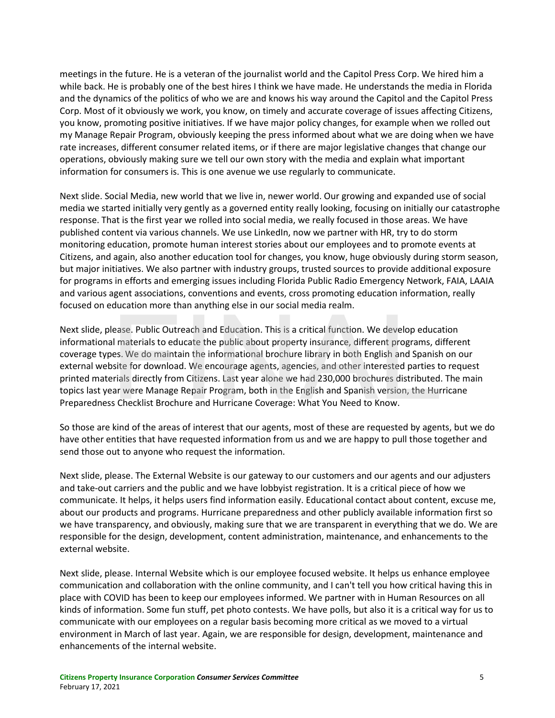meetings in the future. He is a veteran of the journalist world and the Capitol Press Corp. We hired him a while back. He is probably one of the best hires I think we have made. He understands the media in Florida and the dynamics of the politics of who we are and knows his way around the Capitol and the Capitol Press Corp. Most of it obviously we work, you know, on timely and accurate coverage of issues affecting Citizens, you know, promoting positive initiatives. If we have major policy changes, for example when we rolled out my Manage Repair Program, obviously keeping the press informed about what we are doing when we have rate increases, different consumer related items, or if there are major legislative changes that change our operations, obviously making sure we tell our own story with the media and explain what important information for consumers is. This is one avenue we use regularly to communicate.

Next slide. Social Media, new world that we live in, newer world. Our growing and expanded use of social media we started initially very gently as a governed entity really looking, focusing on initially our catastrophe response. That is the first year we rolled into social media, we really focused in those areas. We have published content via various channels. We use LinkedIn, now we partner with HR, try to do storm monitoring education, promote human interest stories about our employees and to promote events at Citizens, and again, also another education tool for changes, you know, huge obviously during storm season, but major initiatives. We also partner with industry groups, trusted sources to provide additional exposure for programs in efforts and emerging issues including Florida Public Radio Emergency Network, FAIA, LAAIA and various agent associations, conventions and events, cross promoting education information, really focused on education more than anything else in our social media realm.

Next slide, please. Public Outreach and Education. This is a critical function. We develop education informational materials to educate the public about property insurance, different programs, different coverage types. We do maintain the informational brochure library in both English and Spanish on our external website for download. We encourage agents, agencies, and other interested parties to request printed materials directly from Citizens. Last year alone we had 230,000 brochures distributed. The main topics last year were Manage Repair Program, both in the English and Spanish version, the Hurricane Preparedness Checklist Brochure and Hurricane Coverage: What You Need to Know. lease. Public Outreach and Education. This is a critical function. We develop educate<br>all materials to educate the public about property insurance, different programs, differs. We do maintain the informational brochure lib

So those are kind of the areas of interest that our agents, most of these are requested by agents, but we do have other entities that have requested information from us and we are happy to pull those together and send those out to anyone who request the information.

Next slide, please. The External Website is our gateway to our customers and our agents and our adjusters and take-out carriers and the public and we have lobbyist registration. It is a critical piece of how we communicate. It helps, it helps users find information easily. Educational contact about content, excuse me, about our products and programs. Hurricane preparedness and other publicly available information first so we have transparency, and obviously, making sure that we are transparent in everything that we do. We are responsible for the design, development, content administration, maintenance, and enhancements to the external website.

Next slide, please. Internal Website which is our employee focused website. It helps us enhance employee communication and collaboration with the online community, and I can't tell you how critical having this in place with COVID has been to keep our employees informed. We partner with in Human Resources on all kinds of information. Some fun stuff, pet photo contests. We have polls, but also it is a critical way for us to communicate with our employees on a regular basis becoming more critical as we moved to a virtual environment in March of last year. Again, we are responsible for design, development, maintenance and enhancements of the internal website.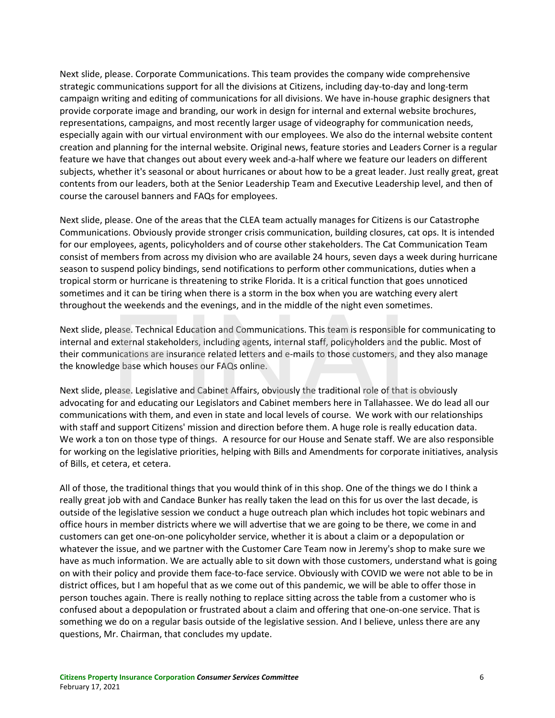Next slide, please. Corporate Communications. This team provides the company wide comprehensive strategic communications support for all the divisions at Citizens, including day-to-day and long-term campaign writing and editing of communications for all divisions. We have in-house graphic designers that provide corporate image and branding, our work in design for internal and external website brochures, representations, campaigns, and most recently larger usage of videography for communication needs, especially again with our virtual environment with our employees. We also do the internal website content creation and planning for the internal website. Original news, feature stories and Leaders Corner is a regular feature we have that changes out about every week and-a-half where we feature our leaders on different subjects, whether it's seasonal or about hurricanes or about how to be a great leader. Just really great, great contents from our leaders, both at the Senior Leadership Team and Executive Leadership level, and then of course the carousel banners and FAQs for employees.

Next slide, please. One of the areas that the CLEA team actually manages for Citizens is our Catastrophe Communications. Obviously provide stronger crisis communication, building closures, cat ops. It is intended for our employees, agents, policyholders and of course other stakeholders. The Cat Communication Team consist of members from across my division who are available 24 hours, seven days a week during hurricane season to suspend policy bindings, send notifications to perform other communications, duties when a tropical storm or hurricane is threatening to strike Florida. It is a critical function that goes unnoticed sometimes and it can be tiring when there is a storm in the box when you are watching every alert throughout the weekends and the evenings, and in the middle of the night even sometimes.

Next slide, please. Technical Education and Communications. This team is responsible for communicating to internal and external stakeholders, including agents, internal staff, policyholders and the public. Most of their communications are insurance related letters and e-mails to those customers, and they also manage the knowledge base which houses our FAQs online. lease. Technical Education and Communications. This team is responsible for commexternal stakeholders, including agents, internal staff, policyholders and the public<br>inications are insurance related letters and e-mails to

Next slide, please. Legislative and Cabinet Affairs, obviously the traditional role of that is obviously advocating for and educating our Legislators and Cabinet members here in Tallahassee. We do lead all our communications with them, and even in state and local levels of course. We work with our relationships with staff and support Citizens' mission and direction before them. A huge role is really education data. We work a ton on those type of things. A resource for our House and Senate staff. We are also responsible for working on the legislative priorities, helping with Bills and Amendments for corporate initiatives, analysis of Bills, et cetera, et cetera.

All of those, the traditional things that you would think of in this shop. One of the things we do I think a really great job with and Candace Bunker has really taken the lead on this for us over the last decade, is outside of the legislative session we conduct a huge outreach plan which includes hot topic webinars and office hours in member districts where we will advertise that we are going to be there, we come in and customers can get one-on-one policyholder service, whether it is about a claim or a depopulation or whatever the issue, and we partner with the Customer Care Team now in Jeremy's shop to make sure we have as much information. We are actually able to sit down with those customers, understand what is going on with their policy and provide them face-to-face service. Obviously with COVID we were not able to be in district offices, but I am hopeful that as we come out of this pandemic, we will be able to offer those in person touches again. There is really nothing to replace sitting across the table from a customer who is confused about a depopulation or frustrated about a claim and offering that one-on-one service. That is something we do on a regular basis outside of the legislative session. And I believe, unless there are any questions, Mr. Chairman, that concludes my update.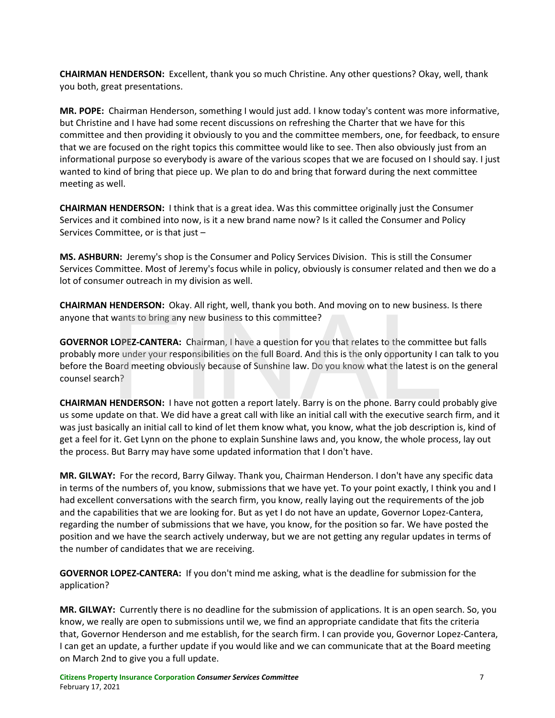**CHAIRMAN HENDERSON:** Excellent, thank you so much Christine. Any other questions? Okay, well, thank you both, great presentations.

**MR. POPE:** Chairman Henderson, something I would just add. I know today's content was more informative, but Christine and I have had some recent discussions on refreshing the Charter that we have for this committee and then providing it obviously to you and the committee members, one, for feedback, to ensure that we are focused on the right topics this committee would like to see. Then also obviously just from an informational purpose so everybody is aware of the various scopes that we are focused on I should say. I just wanted to kind of bring that piece up. We plan to do and bring that forward during the next committee meeting as well.

**CHAIRMAN HENDERSON:** I think that is a great idea. Was this committee originally just the Consumer Services and it combined into now, is it a new brand name now? Is it called the Consumer and Policy Services Committee, or is that just –

**MS. ASHBURN:** Jeremy's shop is the Consumer and Policy Services Division. This is still the Consumer Services Committee. Most of Jeremy's focus while in policy, obviously is consumer related and then we do a lot of consumer outreach in my division as well.

**CHAIRMAN HENDERSON:** Okay. All right, well, thank you both. And moving on to new business. Is there anyone that wants to bring any new business to this committee?

**GOVERNOR LOPEZ-CANTERA:** Chairman, I have a question for you that relates to the committee but falls probably more under your responsibilities on the full Board. And this is the only opportunity I can talk to you before the Board meeting obviously because of Sunshine law. Do you know what the latest is on the general counsel search? wants to bring any new business to this committee?<br> **LOPEZ-CANTERA:** Chairman, I have a question for you that relates to the committent in the full post of the full Board. And this is the only opportunity I coard meeting o

**CHAIRMAN HENDERSON:** I have not gotten a report lately. Barry is on the phone. Barry could probably give us some update on that. We did have a great call with like an initial call with the executive search firm, and it was just basically an initial call to kind of let them know what, you know, what the job description is, kind of get a feel for it. Get Lynn on the phone to explain Sunshine laws and, you know, the whole process, lay out the process. But Barry may have some updated information that I don't have.

**MR. GILWAY:** For the record, Barry Gilway. Thank you, Chairman Henderson. I don't have any specific data in terms of the numbers of, you know, submissions that we have yet. To your point exactly, I think you and I had excellent conversations with the search firm, you know, really laying out the requirements of the job and the capabilities that we are looking for. But as yet I do not have an update, Governor Lopez-Cantera, regarding the number of submissions that we have, you know, for the position so far. We have posted the position and we have the search actively underway, but we are not getting any regular updates in terms of the number of candidates that we are receiving.

**GOVERNOR LOPEZ-CANTERA:** If you don't mind me asking, what is the deadline for submission for the application?

**MR. GILWAY:** Currently there is no deadline for the submission of applications. It is an open search. So, you know, we really are open to submissions until we, we find an appropriate candidate that fits the criteria that, Governor Henderson and me establish, for the search firm. I can provide you, Governor Lopez-Cantera, I can get an update, a further update if you would like and we can communicate that at the Board meeting on March 2nd to give you a full update.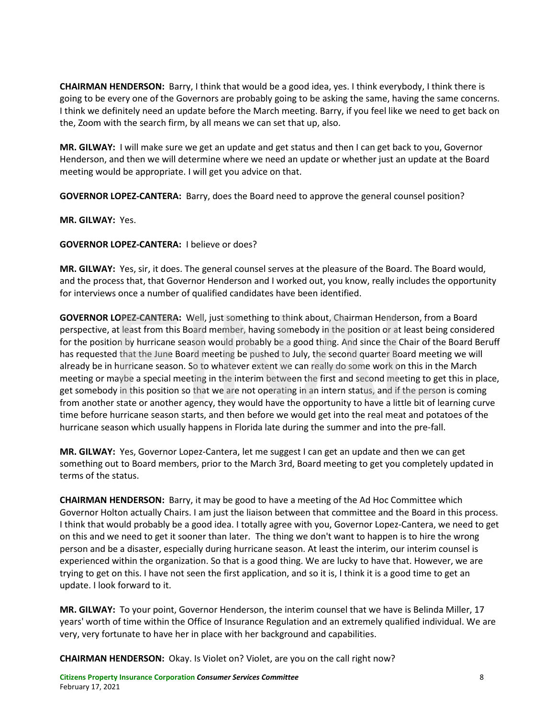**CHAIRMAN HENDERSON:** Barry, I think that would be a good idea, yes. I think everybody, I think there is going to be every one of the Governors are probably going to be asking the same, having the same concerns. I think we definitely need an update before the March meeting. Barry, if you feel like we need to get back on the, Zoom with the search firm, by all means we can set that up, also.

**MR. GILWAY:** I will make sure we get an update and get status and then I can get back to you, Governor Henderson, and then we will determine where we need an update or whether just an update at the Board meeting would be appropriate. I will get you advice on that.

**GOVERNOR LOPEZ-CANTERA:** Barry, does the Board need to approve the general counsel position?

**MR. GILWAY:** Yes.

**GOVERNOR LOPEZ-CANTERA:** I believe or does?

**MR. GILWAY:** Yes, sir, it does. The general counsel serves at the pleasure of the Board. The Board would, and the process that, that Governor Henderson and I worked out, you know, really includes the opportunity for interviews once a number of qualified candidates have been identified.

**GOVERNOR LOPEZ-CANTERA:** Well, just something to think about, Chairman Henderson, from a Board perspective, at least from this Board member, having somebody in the position or at least being considered for the position by hurricane season would probably be a good thing. And since the Chair of the Board Beruff has requested that the June Board meeting be pushed to July, the second quarter Board meeting we will already be in hurricane season. So to whatever extent we can really do some work on this in the March meeting or maybe a special meeting in the interim between the first and second meeting to get this in place, get somebody in this position so that we are not operating in an intern status, and if the person is coming from another state or another agency, they would have the opportunity to have a little bit of learning curve time before hurricane season starts, and then before we would get into the real meat and potatoes of the hurricane season which usually happens in Florida late during the summer and into the pre-fall. **LOPEZ-CANTERA:** Well, just something to think about, Chairman Henderson, from<br>at least from this Board member, having somebody in the position or at least bein<br>ion by hurricane season would probably be a good thing. And s

**MR. GILWAY:** Yes, Governor Lopez-Cantera, let me suggest I can get an update and then we can get something out to Board members, prior to the March 3rd, Board meeting to get you completely updated in terms of the status.

**CHAIRMAN HENDERSON:** Barry, it may be good to have a meeting of the Ad Hoc Committee which Governor Holton actually Chairs. I am just the liaison between that committee and the Board in this process. I think that would probably be a good idea. I totally agree with you, Governor Lopez-Cantera, we need to get on this and we need to get it sooner than later. The thing we don't want to happen is to hire the wrong person and be a disaster, especially during hurricane season. At least the interim, our interim counsel is experienced within the organization. So that is a good thing. We are lucky to have that. However, we are trying to get on this. I have not seen the first application, and so it is, I think it is a good time to get an update. I look forward to it.

**MR. GILWAY:** To your point, Governor Henderson, the interim counsel that we have is Belinda Miller, 17 years' worth of time within the Office of Insurance Regulation and an extremely qualified individual. We are very, very fortunate to have her in place with her background and capabilities.

**CHAIRMAN HENDERSON:** Okay. Is Violet on? Violet, are you on the call right now?